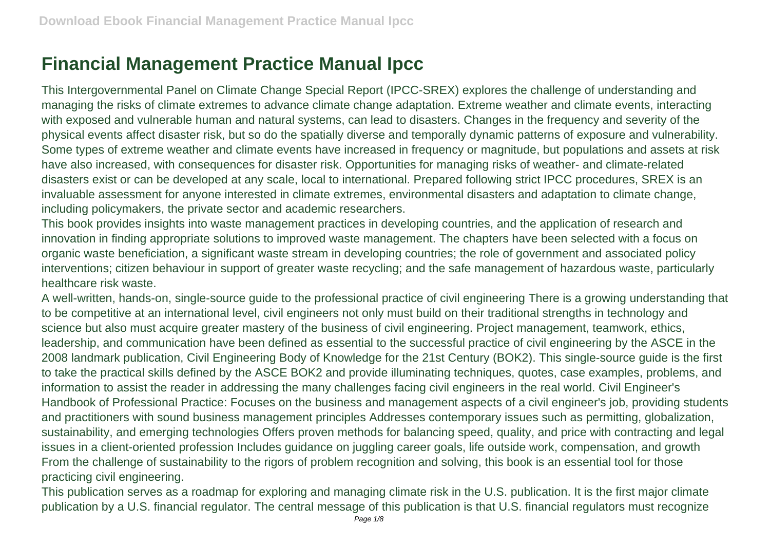## **Financial Management Practice Manual Ipcc**

This Intergovernmental Panel on Climate Change Special Report (IPCC-SREX) explores the challenge of understanding and managing the risks of climate extremes to advance climate change adaptation. Extreme weather and climate events, interacting with exposed and vulnerable human and natural systems, can lead to disasters. Changes in the frequency and severity of the physical events affect disaster risk, but so do the spatially diverse and temporally dynamic patterns of exposure and vulnerability. Some types of extreme weather and climate events have increased in frequency or magnitude, but populations and assets at risk have also increased, with consequences for disaster risk. Opportunities for managing risks of weather- and climate-related disasters exist or can be developed at any scale, local to international. Prepared following strict IPCC procedures, SREX is an invaluable assessment for anyone interested in climate extremes, environmental disasters and adaptation to climate change, including policymakers, the private sector and academic researchers.

This book provides insights into waste management practices in developing countries, and the application of research and innovation in finding appropriate solutions to improved waste management. The chapters have been selected with a focus on organic waste beneficiation, a significant waste stream in developing countries; the role of government and associated policy interventions; citizen behaviour in support of greater waste recycling; and the safe management of hazardous waste, particularly healthcare risk waste.

A well-written, hands-on, single-source guide to the professional practice of civil engineering There is a growing understanding that to be competitive at an international level, civil engineers not only must build on their traditional strengths in technology and science but also must acquire greater mastery of the business of civil engineering. Project management, teamwork, ethics, leadership, and communication have been defined as essential to the successful practice of civil engineering by the ASCE in the 2008 landmark publication, Civil Engineering Body of Knowledge for the 21st Century (BOK2). This single-source guide is the first to take the practical skills defined by the ASCE BOK2 and provide illuminating techniques, quotes, case examples, problems, and information to assist the reader in addressing the many challenges facing civil engineers in the real world. Civil Engineer's Handbook of Professional Practice: Focuses on the business and management aspects of a civil engineer's job, providing students and practitioners with sound business management principles Addresses contemporary issues such as permitting, globalization, sustainability, and emerging technologies Offers proven methods for balancing speed, quality, and price with contracting and legal issues in a client-oriented profession Includes guidance on juggling career goals, life outside work, compensation, and growth From the challenge of sustainability to the rigors of problem recognition and solving, this book is an essential tool for those practicing civil engineering.

This publication serves as a roadmap for exploring and managing climate risk in the U.S. publication. It is the first major climate publication by a U.S. financial regulator. The central message of this publication is that U.S. financial regulators must recognize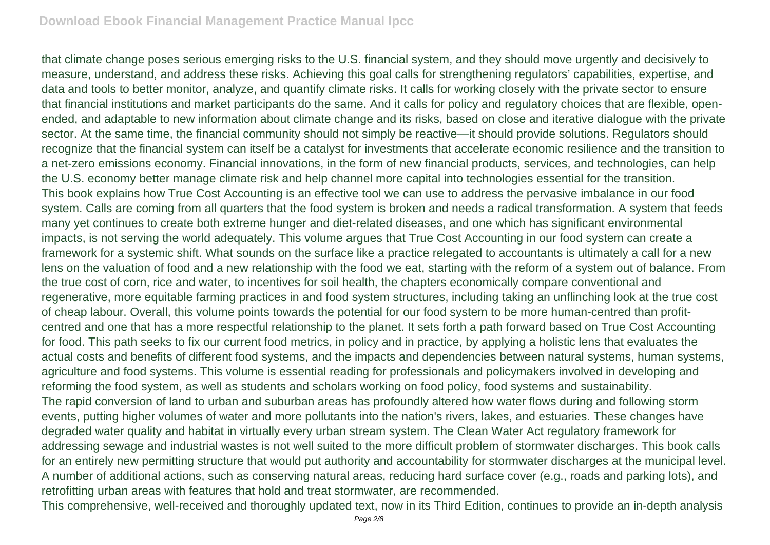that climate change poses serious emerging risks to the U.S. financial system, and they should move urgently and decisively to measure, understand, and address these risks. Achieving this goal calls for strengthening regulators' capabilities, expertise, and data and tools to better monitor, analyze, and quantify climate risks. It calls for working closely with the private sector to ensure that financial institutions and market participants do the same. And it calls for policy and regulatory choices that are flexible, openended, and adaptable to new information about climate change and its risks, based on close and iterative dialogue with the private sector. At the same time, the financial community should not simply be reactive—it should provide solutions. Regulators should recognize that the financial system can itself be a catalyst for investments that accelerate economic resilience and the transition to a net-zero emissions economy. Financial innovations, in the form of new financial products, services, and technologies, can help the U.S. economy better manage climate risk and help channel more capital into technologies essential for the transition. This book explains how True Cost Accounting is an effective tool we can use to address the pervasive imbalance in our food system. Calls are coming from all quarters that the food system is broken and needs a radical transformation. A system that feeds many yet continues to create both extreme hunger and diet-related diseases, and one which has significant environmental impacts, is not serving the world adequately. This volume argues that True Cost Accounting in our food system can create a framework for a systemic shift. What sounds on the surface like a practice relegated to accountants is ultimately a call for a new lens on the valuation of food and a new relationship with the food we eat, starting with the reform of a system out of balance. From the true cost of corn, rice and water, to incentives for soil health, the chapters economically compare conventional and regenerative, more equitable farming practices in and food system structures, including taking an unflinching look at the true cost of cheap labour. Overall, this volume points towards the potential for our food system to be more human-centred than profitcentred and one that has a more respectful relationship to the planet. It sets forth a path forward based on True Cost Accounting for food. This path seeks to fix our current food metrics, in policy and in practice, by applying a holistic lens that evaluates the actual costs and benefits of different food systems, and the impacts and dependencies between natural systems, human systems, agriculture and food systems. This volume is essential reading for professionals and policymakers involved in developing and reforming the food system, as well as students and scholars working on food policy, food systems and sustainability. The rapid conversion of land to urban and suburban areas has profoundly altered how water flows during and following storm events, putting higher volumes of water and more pollutants into the nation's rivers, lakes, and estuaries. These changes have degraded water quality and habitat in virtually every urban stream system. The Clean Water Act regulatory framework for addressing sewage and industrial wastes is not well suited to the more difficult problem of stormwater discharges. This book calls for an entirely new permitting structure that would put authority and accountability for stormwater discharges at the municipal level. A number of additional actions, such as conserving natural areas, reducing hard surface cover (e.g., roads and parking lots), and retrofitting urban areas with features that hold and treat stormwater, are recommended. This comprehensive, well-received and thoroughly updated text, now in its Third Edition, continues to provide an in-depth analysis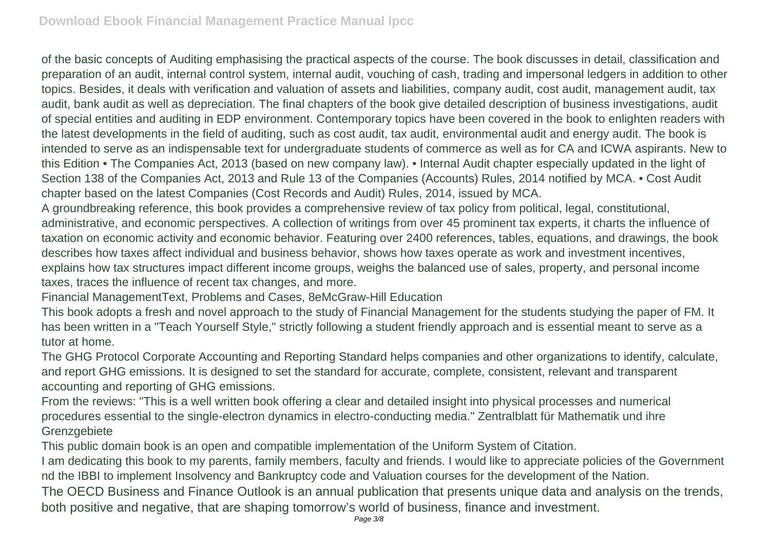of the basic concepts of Auditing emphasising the practical aspects of the course. The book discusses in detail, classification and preparation of an audit, internal control system, internal audit, vouching of cash, trading and impersonal ledgers in addition to other topics. Besides, it deals with verification and valuation of assets and liabilities, company audit, cost audit, management audit, tax audit, bank audit as well as depreciation. The final chapters of the book give detailed description of business investigations, audit of special entities and auditing in EDP environment. Contemporary topics have been covered in the book to enlighten readers with the latest developments in the field of auditing, such as cost audit, tax audit, environmental audit and energy audit. The book is intended to serve as an indispensable text for undergraduate students of commerce as well as for CA and ICWA aspirants. New to this Edition • The Companies Act, 2013 (based on new company law). • Internal Audit chapter especially updated in the light of Section 138 of the Companies Act, 2013 and Rule 13 of the Companies (Accounts) Rules, 2014 notified by MCA. • Cost Audit chapter based on the latest Companies (Cost Records and Audit) Rules, 2014, issued by MCA.

A groundbreaking reference, this book provides a comprehensive review of tax policy from political, legal, constitutional, administrative, and economic perspectives. A collection of writings from over 45 prominent tax experts, it charts the influence of taxation on economic activity and economic behavior. Featuring over 2400 references, tables, equations, and drawings, the book describes how taxes affect individual and business behavior, shows how taxes operate as work and investment incentives, explains how tax structures impact different income groups, weighs the balanced use of sales, property, and personal income taxes, traces the influence of recent tax changes, and more.

Financial ManagementText, Problems and Cases, 8eMcGraw-Hill Education

This book adopts a fresh and novel approach to the study of Financial Management for the students studying the paper of FM. It has been written in a "Teach Yourself Style," strictly following a student friendly approach and is essential meant to serve as a tutor at home.

The GHG Protocol Corporate Accounting and Reporting Standard helps companies and other organizations to identify, calculate, and report GHG emissions. It is designed to set the standard for accurate, complete, consistent, relevant and transparent accounting and reporting of GHG emissions.

From the reviews: "This is a well written book offering a clear and detailed insight into physical processes and numerical procedures essential to the single-electron dynamics in electro-conducting media." Zentralblatt für Mathematik und ihre **Grenzgebiete** 

This public domain book is an open and compatible implementation of the Uniform System of Citation.

I am dedicating this book to my parents, family members, faculty and friends. I would like to appreciate policies of the Government nd the IBBI to implement Insolvency and Bankruptcy code and Valuation courses for the development of the Nation.

The OECD Business and Finance Outlook is an annual publication that presents unique data and analysis on the trends, both positive and negative, that are shaping tomorrow's world of business, finance and investment.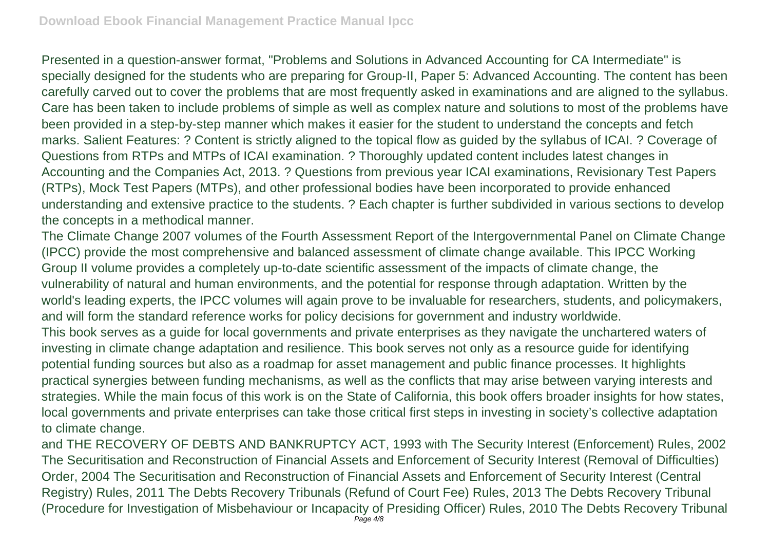Presented in a question-answer format, "Problems and Solutions in Advanced Accounting for CA Intermediate" is specially designed for the students who are preparing for Group-II, Paper 5: Advanced Accounting. The content has been carefully carved out to cover the problems that are most frequently asked in examinations and are aligned to the syllabus. Care has been taken to include problems of simple as well as complex nature and solutions to most of the problems have been provided in a step-by-step manner which makes it easier for the student to understand the concepts and fetch marks. Salient Features: ? Content is strictly aligned to the topical flow as guided by the syllabus of ICAI. ? Coverage of Questions from RTPs and MTPs of ICAI examination. ? Thoroughly updated content includes latest changes in Accounting and the Companies Act, 2013. ? Questions from previous year ICAI examinations, Revisionary Test Papers (RTPs), Mock Test Papers (MTPs), and other professional bodies have been incorporated to provide enhanced understanding and extensive practice to the students. ? Each chapter is further subdivided in various sections to develop the concepts in a methodical manner.

The Climate Change 2007 volumes of the Fourth Assessment Report of the Intergovernmental Panel on Climate Change (IPCC) provide the most comprehensive and balanced assessment of climate change available. This IPCC Working Group II volume provides a completely up-to-date scientific assessment of the impacts of climate change, the vulnerability of natural and human environments, and the potential for response through adaptation. Written by the world's leading experts, the IPCC volumes will again prove to be invaluable for researchers, students, and policymakers, and will form the standard reference works for policy decisions for government and industry worldwide. This book serves as a guide for local governments and private enterprises as they navigate the unchartered waters of

investing in climate change adaptation and resilience. This book serves not only as a resource guide for identifying potential funding sources but also as a roadmap for asset management and public finance processes. It highlights practical synergies between funding mechanisms, as well as the conflicts that may arise between varying interests and strategies. While the main focus of this work is on the State of California, this book offers broader insights for how states, local governments and private enterprises can take those critical first steps in investing in society's collective adaptation to climate change.

and THE RECOVERY OF DEBTS AND BANKRUPTCY ACT, 1993 with The Security Interest (Enforcement) Rules, 2002 The Securitisation and Reconstruction of Financial Assets and Enforcement of Security Interest (Removal of Difficulties) Order, 2004 The Securitisation and Reconstruction of Financial Assets and Enforcement of Security Interest (Central Registry) Rules, 2011 The Debts Recovery Tribunals (Refund of Court Fee) Rules, 2013 The Debts Recovery Tribunal (Procedure for Investigation of Misbehaviour or Incapacity of Presiding Officer) Rules, 2010 The Debts Recovery Tribunal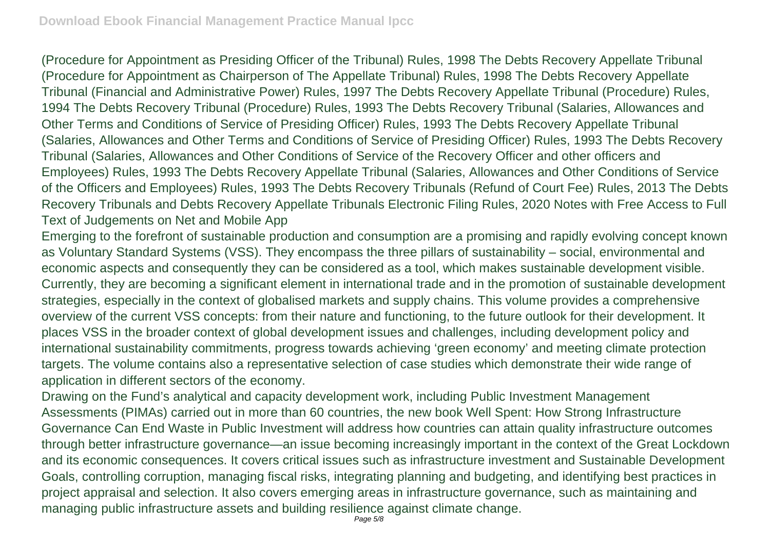(Procedure for Appointment as Presiding Officer of the Tribunal) Rules, 1998 The Debts Recovery Appellate Tribunal (Procedure for Appointment as Chairperson of The Appellate Tribunal) Rules, 1998 The Debts Recovery Appellate Tribunal (Financial and Administrative Power) Rules, 1997 The Debts Recovery Appellate Tribunal (Procedure) Rules, 1994 The Debts Recovery Tribunal (Procedure) Rules, 1993 The Debts Recovery Tribunal (Salaries, Allowances and Other Terms and Conditions of Service of Presiding Officer) Rules, 1993 The Debts Recovery Appellate Tribunal (Salaries, Allowances and Other Terms and Conditions of Service of Presiding Officer) Rules, 1993 The Debts Recovery Tribunal (Salaries, Allowances and Other Conditions of Service of the Recovery Officer and other officers and Employees) Rules, 1993 The Debts Recovery Appellate Tribunal (Salaries, Allowances and Other Conditions of Service of the Officers and Employees) Rules, 1993 The Debts Recovery Tribunals (Refund of Court Fee) Rules, 2013 The Debts Recovery Tribunals and Debts Recovery Appellate Tribunals Electronic Filing Rules, 2020 Notes with Free Access to Full Text of Judgements on Net and Mobile App

Emerging to the forefront of sustainable production and consumption are a promising and rapidly evolving concept known as Voluntary Standard Systems (VSS). They encompass the three pillars of sustainability – social, environmental and economic aspects and consequently they can be considered as a tool, which makes sustainable development visible. Currently, they are becoming a significant element in international trade and in the promotion of sustainable development strategies, especially in the context of globalised markets and supply chains. This volume provides a comprehensive overview of the current VSS concepts: from their nature and functioning, to the future outlook for their development. It places VSS in the broader context of global development issues and challenges, including development policy and international sustainability commitments, progress towards achieving 'green economy' and meeting climate protection targets. The volume contains also a representative selection of case studies which demonstrate their wide range of application in different sectors of the economy.

Drawing on the Fund's analytical and capacity development work, including Public Investment Management Assessments (PIMAs) carried out in more than 60 countries, the new book Well Spent: How Strong Infrastructure Governance Can End Waste in Public Investment will address how countries can attain quality infrastructure outcomes through better infrastructure governance—an issue becoming increasingly important in the context of the Great Lockdown and its economic consequences. It covers critical issues such as infrastructure investment and Sustainable Development Goals, controlling corruption, managing fiscal risks, integrating planning and budgeting, and identifying best practices in project appraisal and selection. It also covers emerging areas in infrastructure governance, such as maintaining and managing public infrastructure assets and building resilience against climate change.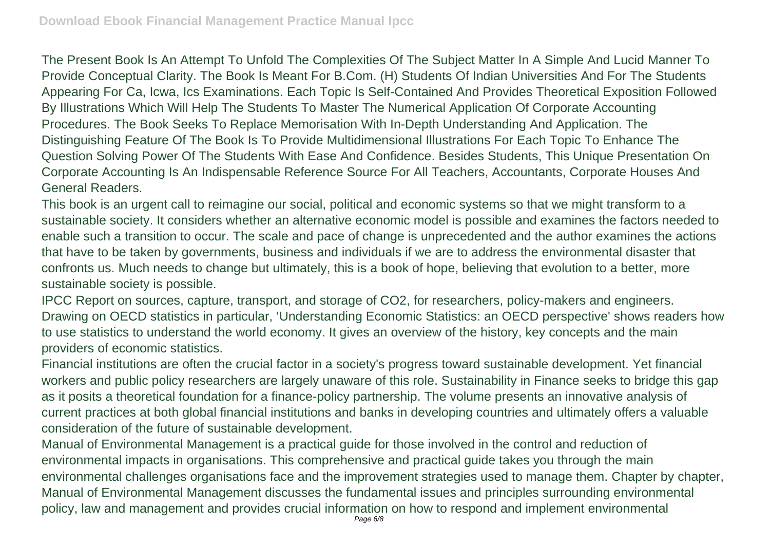The Present Book Is An Attempt To Unfold The Complexities Of The Subject Matter In A Simple And Lucid Manner To Provide Conceptual Clarity. The Book Is Meant For B.Com. (H) Students Of Indian Universities And For The Students Appearing For Ca, Icwa, Ics Examinations. Each Topic Is Self-Contained And Provides Theoretical Exposition Followed By Illustrations Which Will Help The Students To Master The Numerical Application Of Corporate Accounting Procedures. The Book Seeks To Replace Memorisation With In-Depth Understanding And Application. The Distinguishing Feature Of The Book Is To Provide Multidimensional Illustrations For Each Topic To Enhance The Question Solving Power Of The Students With Ease And Confidence. Besides Students, This Unique Presentation On Corporate Accounting Is An Indispensable Reference Source For All Teachers, Accountants, Corporate Houses And General Readers.

This book is an urgent call to reimagine our social, political and economic systems so that we might transform to a sustainable society. It considers whether an alternative economic model is possible and examines the factors needed to enable such a transition to occur. The scale and pace of change is unprecedented and the author examines the actions that have to be taken by governments, business and individuals if we are to address the environmental disaster that confronts us. Much needs to change but ultimately, this is a book of hope, believing that evolution to a better, more sustainable society is possible.

IPCC Report on sources, capture, transport, and storage of CO2, for researchers, policy-makers and engineers. Drawing on OECD statistics in particular, 'Understanding Economic Statistics: an OECD perspective' shows readers how to use statistics to understand the world economy. It gives an overview of the history, key concepts and the main providers of economic statistics.

Financial institutions are often the crucial factor in a society's progress toward sustainable development. Yet financial workers and public policy researchers are largely unaware of this role. Sustainability in Finance seeks to bridge this gap as it posits a theoretical foundation for a finance-policy partnership. The volume presents an innovative analysis of current practices at both global financial institutions and banks in developing countries and ultimately offers a valuable consideration of the future of sustainable development.

Manual of Environmental Management is a practical guide for those involved in the control and reduction of environmental impacts in organisations. This comprehensive and practical guide takes you through the main environmental challenges organisations face and the improvement strategies used to manage them. Chapter by chapter, Manual of Environmental Management discusses the fundamental issues and principles surrounding environmental policy, law and management and provides crucial information on how to respond and implement environmental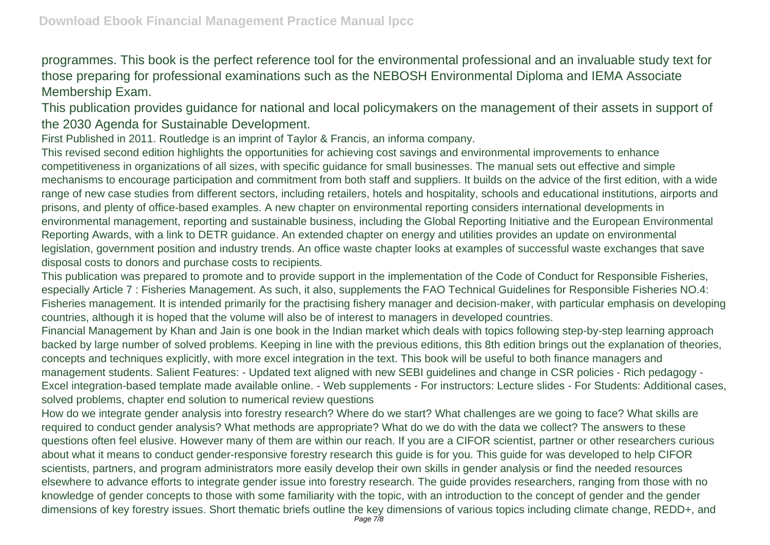programmes. This book is the perfect reference tool for the environmental professional and an invaluable study text for those preparing for professional examinations such as the NEBOSH Environmental Diploma and IEMA Associate Membership Exam.

This publication provides guidance for national and local policymakers on the management of their assets in support of the 2030 Agenda for Sustainable Development.

First Published in 2011. Routledge is an imprint of Taylor & Francis, an informa company.

This revised second edition highlights the opportunities for achieving cost savings and environmental improvements to enhance competitiveness in organizations of all sizes, with specific guidance for small businesses. The manual sets out effective and simple mechanisms to encourage participation and commitment from both staff and suppliers. It builds on the advice of the first edition, with a wide range of new case studies from different sectors, including retailers, hotels and hospitality, schools and educational institutions, airports and prisons, and plenty of office-based examples. A new chapter on environmental reporting considers international developments in environmental management, reporting and sustainable business, including the Global Reporting Initiative and the European Environmental Reporting Awards, with a link to DETR guidance. An extended chapter on energy and utilities provides an update on environmental legislation, government position and industry trends. An office waste chapter looks at examples of successful waste exchanges that save disposal costs to donors and purchase costs to recipients.

This publication was prepared to promote and to provide support in the implementation of the Code of Conduct for Responsible Fisheries, especially Article 7 : Fisheries Management. As such, it also, supplements the FAO Technical Guidelines for Responsible Fisheries NO.4: Fisheries management. It is intended primarily for the practising fishery manager and decision-maker, with particular emphasis on developing countries, although it is hoped that the volume will also be of interest to managers in developed countries.

Financial Management by Khan and Jain is one book in the Indian market which deals with topics following step-by-step learning approach backed by large number of solved problems. Keeping in line with the previous editions, this 8th edition brings out the explanation of theories, concepts and techniques explicitly, with more excel integration in the text. This book will be useful to both finance managers and management students. Salient Features: - Updated text aligned with new SEBI guidelines and change in CSR policies - Rich pedagogy - Excel integration-based template made available online. - Web supplements - For instructors: Lecture slides - For Students: Additional cases, solved problems, chapter end solution to numerical review questions

How do we integrate gender analysis into forestry research? Where do we start? What challenges are we going to face? What skills are required to conduct gender analysis? What methods are appropriate? What do we do with the data we collect? The answers to these questions often feel elusive. However many of them are within our reach. If you are a CIFOR scientist, partner or other researchers curious about what it means to conduct gender-responsive forestry research this guide is for you. This guide for was developed to help CIFOR scientists, partners, and program administrators more easily develop their own skills in gender analysis or find the needed resources elsewhere to advance efforts to integrate gender issue into forestry research. The guide provides researchers, ranging from those with no knowledge of gender concepts to those with some familiarity with the topic, with an introduction to the concept of gender and the gender dimensions of key forestry issues. Short thematic briefs outline the key dimensions of various topics including climate change, REDD+, and